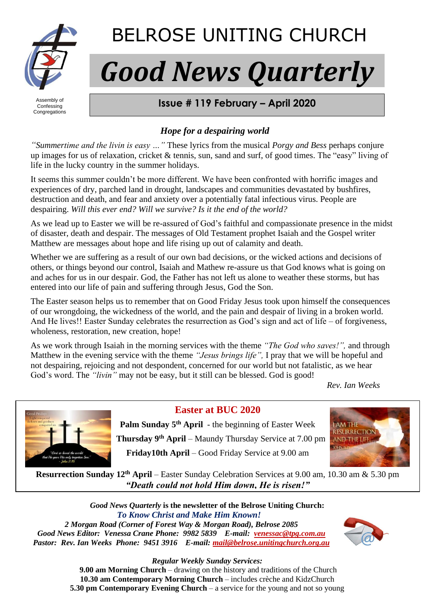

## BELROSE UNITING CHURCH

# *Good News Quarterly*

Assembly of Confessing **Congregations** 

#### **FROM BELROSE UNITING CHURCH Issue # 119 February – April 2020**

#### *Hope for a despairing world*

*"Summertime and the livin is easy …"* These lyrics from the musical *Porgy and Bess* perhaps conjure up images for us of relaxation, cricket & tennis, sun, sand and surf, of good times. The "easy" living of life in the lucky country in the summer holidays.

It seems this summer couldn't be more different. We have been confronted with horrific images and experiences of dry, parched land in drought, landscapes and communities devastated by bushfires, destruction and death, and fear and anxiety over a potentially fatal infectious virus. People are despairing. *Will this ever end? Will we survive? Is it the end of the world?*

As we lead up to Easter we will be re-assured of God's faithful and compassionate presence in the midst of disaster, death and despair. The messages of Old Testament prophet Isaiah and the Gospel writer Matthew are messages about hope and life rising up out of calamity and death.

Whether we are suffering as a result of our own bad decisions, or the wicked actions and decisions of others, or things beyond our control, Isaiah and Mathew re-assure us that God knows what is going on and aches for us in our despair. God, the Father has not left us alone to weather these storms, but has entered into our life of pain and suffering through Jesus, God the Son.

The Easter season helps us to remember that on Good Friday Jesus took upon himself the consequences of our wrongdoing, the wickedness of the world, and the pain and despair of living in a broken world. And He lives!! Easter Sunday celebrates the resurrection as God's sign and act of life – of forgiveness, wholeness, restoration, new creation, hope!

As we work through Isaiah in the morning services with the theme *"The God who saves!",* and through Matthew in the evening service with the theme *"Jesus brings life",* I pray that we will be hopeful and not despairing, rejoicing and not despondent, concerned for our world but not fatalistic, as we hear God's word. The *"livin"* may not be easy, but it still can be blessed. God is good!

*Rev. Ian Weeks*



**Easter at BUC 2020**

Palm Sunday 5<sup>th</sup> April - the beginning of Easter Week  **Thursday 9 th April** – Maundy Thursday Service at 7.00 pm **Friday10th April** – Good Friday Service at 9.00 am



**Resurrection Sunday 12th April** – Easter Sunday Celebration Services at 9.00 am, 10.30 am & 5.30 pm *"Death could not hold Him down, He is risen!"*

*Good News Quarterly* **is the newsletter of the Belrose Uniting Church:**  *To Know Christ and Make Him Known! 2 Morgan Road (Corner of Forest Way & Morgan Road), Belrose 2085 Good News Editor: Venessa Crane Phone: 9982 5839 E-mail: [venessac@tpg.com.au](mailto:venessac@tpg.com.au) Pastor: Rev. Ian Weeks Phone: 9451 3916 E-mail: [mail@belrose.unitingchurch.org.au](mailto:mail@belrose.unitingchurch.org.au)*



*Regular Weekly Sunday Services:*

**9.00 am Morning Church** – drawing on the history and traditions of the Church **10.30 am Contemporary Morning Church** – includes crèche and KidzChurch **5.30 pm Contemporary Evening Church** – a service for the young and not so young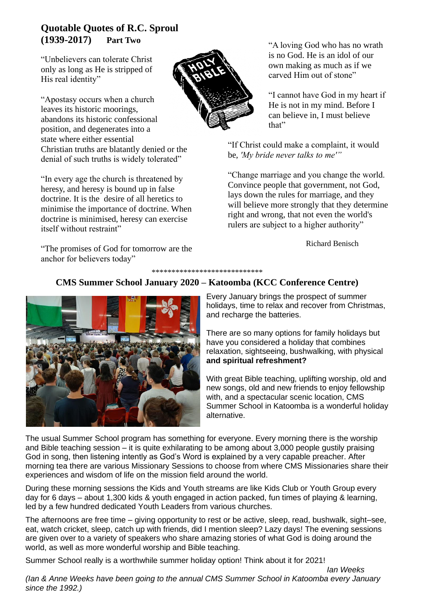#### **Quotable Quotes of R.C. Sproul (1939-2017) Part Two**

"Unbelievers can tolerate Christ only as long as He is stripped of His real identity"

"Apostasy occurs when a church leaves its historic moorings, abandons its historic confessional position, and degenerates into a state where either essential Christian truths are blatantly denied or the denial of such truths is widely tolerated"

"In every age the church is threatened by heresy, and heresy is bound up in false doctrine. It is the desire of all heretics to minimise the importance of doctrine. When doctrine is minimised, heresy can exercise itself without restraint"

"The promises of God for tomorrow are the anchor for believers today"



"A loving God who has no wrath is no God. He is an idol of our own making as much as if we carved Him out of stone"

"I cannot have God in my heart if He is not in my mind. Before I can believe in, I must believe that"

"If Christ could make a complaint, it would be, *'My bride never talks to me'"*

"Change marriage and you change the world. Convince people that government, not God, lays down the rules for marriage, and they will believe more strongly that they determine right and wrong, that not even the world's rulers are subject to a higher authority"

Richard Benisch

*Ian Weeks*

#### \*\*\*\*\*\*\*\*\*\*\*\*\*\*\*\*\*\*\*\*\*\*\*\*\*\*\*\*

#### **CMS Summer School January 2020 – Katoomba (KCC Conference Centre)**



Every January brings the prospect of summer holidays, time to relax and recover from Christmas, and recharge the batteries.

There are so many options for family holidays but have you considered a holiday that combines relaxation, sightseeing, bushwalking, with physical **and spiritual refreshment?**

With great Bible teaching, uplifting worship, old and new songs, old and new friends to enjoy fellowship with, and a spectacular scenic location, CMS Summer School in Katoomba is a wonderful holiday alternative.

The usual Summer School program has something for everyone. Every morning there is the worship and Bible teaching session – it is quite exhilarating to be among about 3,000 people gustily praising God in song, then listening intently as God's Word is explained by a very capable preacher. After morning tea there are various Missionary Sessions to choose from where CMS Missionaries share their experiences and wisdom of life on the mission field around the world.

During these morning sessions the Kids and Youth streams are like Kids Club or Youth Group every day for 6 days – about 1,300 kids & youth engaged in action packed, fun times of playing & learning, led by a few hundred dedicated Youth Leaders from various churches.

The afternoons are free time – giving opportunity to rest or be active, sleep, read, bushwalk, sight–see, eat, watch cricket, sleep, catch up with friends, did I mention sleep? Lazy days! The evening sessions are given over to a variety of speakers who share amazing stories of what God is doing around the world, as well as more wonderful worship and Bible teaching.

Summer School really is a worthwhile summer holiday option! Think about it for 2021!

*(Ian & Anne Weeks have been going to the annual CMS Summer School in Katoomba every January since the 1992.)*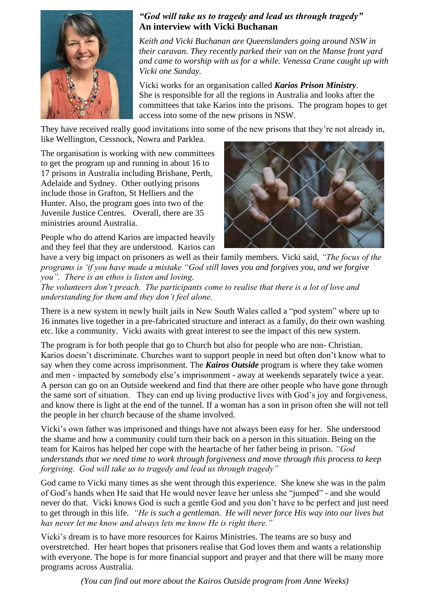

#### *"God will take us to tragedy and lead us through tragedy"* **An interview with Vicki Buchanan**

*Keith and Vicki Buchanan are Queenslanders going around NSW in their caravan. They recently parked their van on the Manse front yard and came to worship with us for a while. Venessa Crane caught up with Vicki one Sunday.* 

Vicki works for an organisation called *Karios Prison Ministry*. She is responsible for all the regions in Australia and looks after the committees that take Karios into the prisons. The program hopes to get access into some of the new prisons in NSW.

They have received really good invitations into some of the new prisons that they're not already in, like Wellington, Cessnock, Nowra and Parklea.

The organisation is working with new committees to get the program up and running in about 16 to 17 prisons in Australia including Brisbane, Perth, Adelaide and Sydney. Other outlying prisons include those in Grafton, St Helliers and the Hunter. Also, the program goes into two of the Juvenile Justice Centres. Overall, there are 35 ministries around Australia.

People who do attend Karios are impacted heavily and they feel that they are understood. Karios can



have a very big impact on prisoners as well as their family members. Vicki said, *"The focus of the programs is 'if you have made a mistake "God still loves you and forgives you, and we forgive you". There is an ethos is listen and loving.*

*The volunteers don't preach. The participants come to realise that there is a lot of love and understanding for them and they don't feel alone.* 

There is a new system in newly built jails in New South Wales called a "pod system" where up to 16 inmates live together in a pre-fabricated structure and interact as a family, do their own washing etc. like a community. Vicki awaits with great interest to see the impact of this new system.

The program is for both people that go to Church but also for people who are non- Christian. Karios doesn't discriminate. Churches want to support people in need but often don't know what to say when they come across imprisonment. The *Kairos Outside* program is where they take women and men - impacted by somebody else's imprisonment - away at weekends separately twice a year. A person can go on an Outside weekend and find that there are other people who have gone through the same sort of situation. They can end up living productive lives with God's joy and forgiveness, and know there is light at the end of the tunnel. If a woman has a son in prison often she will not tell the people in her church because of the shame involved.

Vicki's own father was imprisoned and things have not always been easy for her. She understood the shame and how a community could turn their back on a person in this situation. Being on the team for Kairos has helped her cope with the heartache of her father being in prison. *"God understands that we need time to work through forgiveness and move through this process to keep forgiving. God will take us to tragedy and lead us through tragedy"*

God came to Vicki many times as she went through this experience. She knew she was in the palm of God's hands when He said that He would never leave her unless she "jumped" - and she would never do that. Vicki knows God is such a gentle God and you don't have to be perfect and just need to get through in this life. *"He is such a gentleman. He will never force His way into our lives but has never let me know and always lets me know He is right there."*

Vicki's dream is to have more resources for Kairos Ministries. The teams are so busy and overstretched. Her heart hopes that prisoners realise that God loves them and wants a relationship with everyone. The hope is for more financial support and prayer and that there will be many more programs across Australia.

*(You can find out more about the Kairos Outside program from Anne Weeks)*